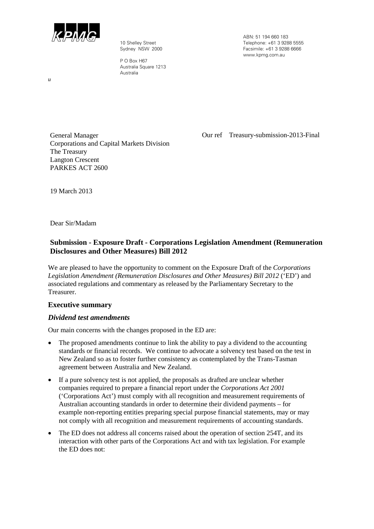

10 Shelley Street Sydney NSW 2000

P O Box H67 Australia Square 1213 Australia

ABN: 51 194 660 183 Telephone: +61 3 9288 5555 Facsimile: +61 3 9288 6666 www.kpmg.com.au

General Manager Corporations and Capital Markets Division The Treasury Langton Crescent PARKES ACT 2600

Our ref Treasury-submission-2013-Final

19 March 2013

Dear Sir/Madam

# **Submission - Exposure Draft - Corporations Legislation Amendment (Remuneration Disclosures and Other Measures) Bill 2012**

We are pleased to have the opportunity to comment on the Exposure Draft of the *Corporations Legislation Amendment (Remuneration Disclosures and Other Measures) Bill 2012* ('ED') and associated regulations and commentary as released by the Parliamentary Secretary to the Treasurer.

# **Executive summary**

# *Dividend test amendments*

Our main concerns with the changes proposed in the ED are:

- The proposed amendments continue to link the ability to pay a dividend to the accounting standards or financial records. We continue to advocate a solvency test based on the test in New Zealand so as to foster further consistency as contemplated by the Trans-Tasman agreement between Australia and New Zealand.
- If a pure solvency test is not applied, the proposals as drafted are unclear whether companies required to prepare a financial report under the *Corporations Act 2001* ('Corporations Act') must comply with all recognition and measurement requirements of Australian accounting standards in order to determine their dividend payments – for example non-reporting entities preparing special purpose financial statements, may or may not comply with all recognition and measurement requirements of accounting standards.
- The ED does not address all concerns raised about the operation of section 254T, and its interaction with other parts of the Corporations Act and with tax legislation. For example the ED does not:

*u*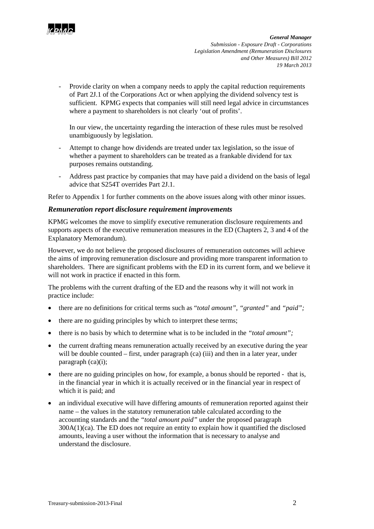

Provide clarity on when a company needs to apply the capital reduction requirements of Part 2J.1 of the Corporations Act or when applying the dividend solvency test is sufficient. KPMG expects that companies will still need legal advice in circumstances where a payment to shareholders is not clearly 'out of profits'.

In our view, the uncertainty regarding the interaction of these rules must be resolved unambiguously by legislation.

- Attempt to change how dividends are treated under tax legislation, so the issue of whether a payment to shareholders can be treated as a frankable dividend for tax purposes remains outstanding.
- Address past practice by companies that may have paid a dividend on the basis of legal advice that S254T overrides Part 2J.1.

Refer to Appendix 1 for further comments on the above issues along with other minor issues.

### *Remuneration report disclosure requirement improvements*

KPMG welcomes the move to simplify executive remuneration disclosure requirements and supports aspects of the executive remuneration measures in the ED (Chapters 2, 3 and 4 of the Explanatory Memorandum).

However, we do not believe the proposed disclosures of remuneration outcomes will achieve the aims of improving remuneration disclosure and providing more transparent information to shareholders. There are significant problems with the ED in its current form, and we believe it will not work in practice if enacted in this form.

The problems with the current drafting of the ED and the reasons why it will not work in practice include:

- there are no definitions for critical terms such as "*total amount", "granted"* and *"paid";*
- there are no guiding principles by which to interpret these terms;
- there is no basis by which to determine what is to be included in the *"total amount";*
- the current drafting means remuneration actually received by an executive during the year will be double counted – first, under paragraph (ca) (iii) and then in a later year, under paragraph (ca)(i);
- there are no guiding principles on how, for example, a bonus should be reported that is, in the financial year in which it is actually received or in the financial year in respect of which it is paid; and
- an individual executive will have differing amounts of remuneration reported against their name – the values in the statutory remuneration table calculated according to the accounting standards and the *"total amount paid"* under the proposed paragraph 300A(1)(ca). The ED does not require an entity to explain how it quantified the disclosed amounts, leaving a user without the information that is necessary to analyse and understand the disclosure.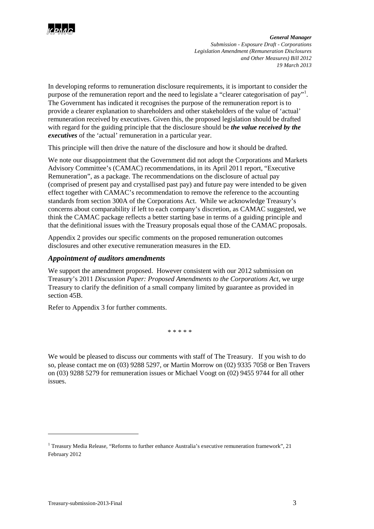

In developing reforms to remuneration disclosure requirements, it is important to consider the purpose of the remuneration report and the need to legislate a "clearer categorisation of pay"<sup>[1](#page-2-0)</sup>. The Government has indicated it recognises the purpose of the remuneration report is to provide a clearer explanation to shareholders and other stakeholders of the value of 'actual' remuneration received by executives. Given this, the proposed legislation should be drafted with regard for the guiding principle that the disclosure should be *the value received by the executives* of the 'actual' remuneration in a particular year.

This principle will then drive the nature of the disclosure and how it should be drafted.

We note our disappointment that the Government did not adopt the Corporations and Markets Advisory Committee's (CAMAC) recommendations, in its April 2011 report, "Executive Remuneration", as a package. The recommendations on the disclosure of actual pay (comprised of present pay and crystallised past pay) and future pay were intended to be given effect together with CAMAC's recommendation to remove the reference to the accounting standards from section 300A of the Corporations Act. While we acknowledge Treasury's concerns about comparability if left to each company's discretion, as CAMAC suggested, we think the CAMAC package reflects a better starting base in terms of a guiding principle and that the definitional issues with the Treasury proposals equal those of the CAMAC proposals.

Appendix 2 provides our specific comments on the proposed remuneration outcomes disclosures and other executive remuneration measures in the ED.

# *Appointment of auditors amendments*

We support the amendment proposed. However consistent with our 2012 submission on Treasury's 2011 *Discussion Paper: Proposed Amendments to the Corporations Act*, we urge Treasury to clarify the definition of a small company limited by guarantee as provided in section 45B.

Refer to Appendix 3 for further comments.

\* \* \* \* \*

We would be pleased to discuss our comments with staff of The Treasury. If you wish to do so, please contact me on (03) 9288 5297, or Martin Morrow on (02) 9335 7058 or Ben Travers on (03) 9288 5279 for remuneration issues or Michael Voogt on (02) 9455 9744 for all other issues.

<u>.</u>

<span id="page-2-0"></span><sup>&</sup>lt;sup>1</sup> Treasury Media Release, "Reforms to further enhance Australia's executive remuneration framework", 21 February 2012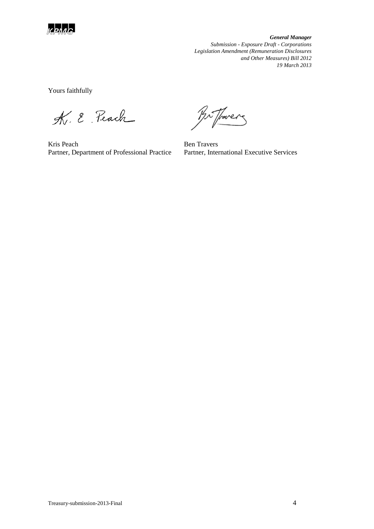

Yours faithfully

K. E. Peach

Kris Peach Partner, Department of Professional Practice

Br Thorers

Ben Travers Partner, International Executive Services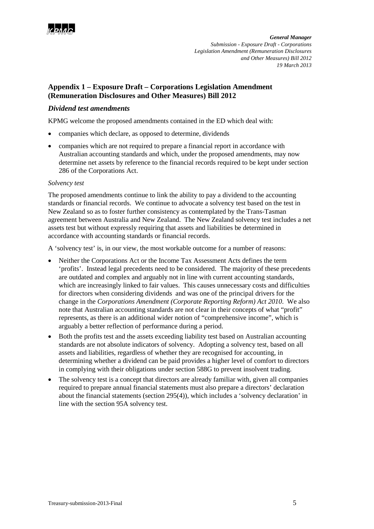

# **Appendix 1 – Exposure Draft – Corporations Legislation Amendment (Remuneration Disclosures and Other Measures) Bill 2012**

# *Dividend test amendments*

KPMG welcome the proposed amendments contained in the ED which deal with:

- companies which declare, as opposed to determine, dividends
- companies which are not required to prepare a financial report in accordance with Australian accounting standards and which, under the proposed amendments, may now determine net assets by reference to the financial records required to be kept under section 286 of the Corporations Act.

### *Solvency test*

The proposed amendments continue to link the ability to pay a dividend to the accounting standards or financial records. We continue to advocate a solvency test based on the test in New Zealand so as to foster further consistency as contemplated by the Trans-Tasman agreement between Australia and New Zealand. The New Zealand solvency test includes a net assets test but without expressly requiring that assets and liabilities be determined in accordance with accounting standards or financial records.

A 'solvency test' is, in our view, the most workable outcome for a number of reasons:

- Neither the Corporations Act or the Income Tax Assessment Acts defines the term 'profits'. Instead legal precedents need to be considered. The majority of these precedents are outdated and complex and arguably not in line with current accounting standards, which are increasingly linked to fair values. This causes unnecessary costs and difficulties for directors when considering dividends and was one of the principal drivers for the change in the *Corporations Amendment (Corporate Reporting Reform) Act 2010*. We also note that Australian accounting standards are not clear in their concepts of what "profit" represents, as there is an additional wider notion of "comprehensive income", which is arguably a better reflection of performance during a period.
- Both the profits test and the assets exceeding liability test based on Australian accounting standards are not absolute indicators of solvency. Adopting a solvency test, based on all assets and liabilities, regardless of whether they are recognised for accounting, in determining whether a dividend can be paid provides a higher level of comfort to directors in complying with their obligations under section 588G to prevent insolvent trading.
- The solvency test is a concept that directors are already familiar with, given all companies required to prepare annual financial statements must also prepare a directors' declaration about the financial statements (section 295(4)), which includes a 'solvency declaration' in line with the section 95A solvency test.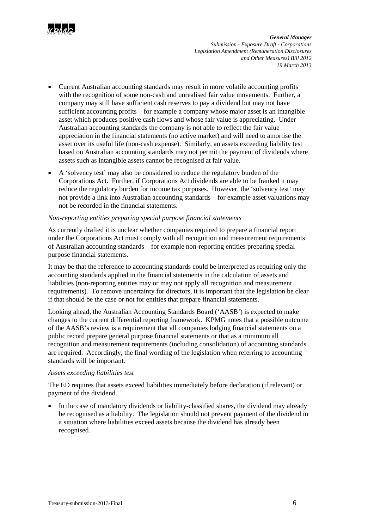

- Current Australian accounting standards may result in more volatile accounting profits with the recognition of some non-cash and unrealised fair value movements. Further, a company may still have sufficient cash reserves to pay a dividend but may not have sufficient accounting profits – for example a company whose major asset is an intangible asset which produces positive cash flows and whose fair value is appreciating. Under Australian accounting standards the company is not able to reflect the fair value appreciation in the financial statements (no active market) and will need to amortise the asset over its useful life (non-cash expense). Similarly, an assets exceeding liability test based on Australian accounting standards may not permit the payment of dividends where assets such as intangible assets cannot be recognised at fair value.
- A 'solvency test' may also be considered to reduce the regulatory burden of the Corporations Act. Further, if Corporations Act dividends are able to be franked it may reduce the regulatory burden for income tax purposes. However, the 'solvency test' may not provide a link into Australian accounting standards – for example asset valuations may not be recorded in the financial statements.

#### *Non-reporting entities preparing special purpose financial statements*

As currently drafted it is unclear whether companies required to prepare a financial report under the Corporations Act must comply with all recognition and measurement requirements of Australian accounting standards – for example non-reporting entities preparing special purpose financial statements.

It may be that the reference to accounting standards could be interpreted as requiring only the accounting standards applied in the financial statements in the calculation of assets and liabilities (non-reporting entities may or may not apply all recognition and measurement requirements). To remove uncertainty for directors, it is important that the legislation be clear if that should be the case or not for entities that prepare financial statements.

Looking ahead, the Australian Accounting Standards Board ('AASB') is expected to make changes to the current differential reporting framework. KPMG notes that a possible outcome of the AASB's review is a requirement that all companies lodging financial statements on a public record prepare general purpose financial statements or that as a minimum all recognition and measurement requirements (including consolidation) of accounting standards are required. Accordingly, the final wording of the legislation when referring to accounting standards will be important.

#### *Assets exceeding liabilities test*

The ED requires that assets exceed liabilities immediately before declaration (if relevant) or payment of the dividend.

• In the case of mandatory dividends or liability-classified shares, the dividend may already be recognised as a liability. The legislation should not prevent payment of the dividend in a situation where liabilities exceed assets because the dividend has already been recognised.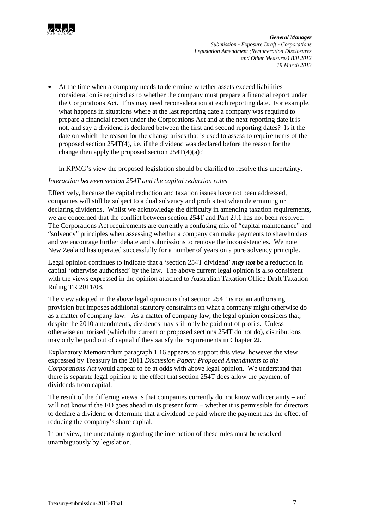

• At the time when a company needs to determine whether assets exceed liabilities consideration is required as to whether the company must prepare a financial report under the Corporations Act. This may need reconsideration at each reporting date. For example, what happens in situations where at the last reporting date a company was required to prepare a financial report under the Corporations Act and at the next reporting date it is not, and say a dividend is declared between the first and second reporting dates? Is it the date on which the reason for the change arises that is used to assess to requirements of the proposed section 254T(4), i.e. if the dividend was declared before the reason for the change then apply the proposed section  $254T(4)(a)$ ?

In KPMG's view the proposed legislation should be clarified to resolve this uncertainty.

### *Interaction between section 254T and the capital reduction rules*

Effectively, because the capital reduction and taxation issues have not been addressed, companies will still be subject to a dual solvency and profits test when determining or declaring dividends. Whilst we acknowledge the difficulty in amending taxation requirements, we are concerned that the conflict between section 254T and Part 2J.1 has not been resolved. The Corporations Act requirements are currently a confusing mix of "capital maintenance" and "solvency" principles when assessing whether a company can make payments to shareholders and we encourage further debate and submissions to remove the inconsistencies. We note New Zealand has operated successfully for a number of years on a pure solvency principle.

Legal opinion continues to indicate that a 'section 254T dividend' *may not* be a reduction in capital 'otherwise authorised' by the law. The above current legal opinion is also consistent with the views expressed in the opinion attached to Australian Taxation Office Draft Taxation Ruling TR 2011/08.

The view adopted in the above legal opinion is that section 254T is not an authorising provision but imposes additional statutory constraints on what a company might otherwise do as a matter of company law. As a matter of company law, the legal opinion considers that, despite the 2010 amendments, dividends may still only be paid out of profits. Unless otherwise authorised (which the current or proposed sections 254T do not do), distributions may only be paid out of capital if they satisfy the requirements in Chapter 2J.

Explanatory Memorandum paragraph 1.16 appears to support this view, however the view expressed by Treasury in the 2011 *Discussion Paper: Proposed Amendments to the Corporations Act* would appear to be at odds with above legal opinion. We understand that there is separate legal opinion to the effect that section 254T does allow the payment of dividends from capital.

The result of the differing views is that companies currently do not know with certainty – and will not know if the ED goes ahead in its present form – whether it is permissible for directors to declare a dividend or determine that a dividend be paid where the payment has the effect of reducing the company's share capital.

In our view, the uncertainty regarding the interaction of these rules must be resolved unambiguously by legislation.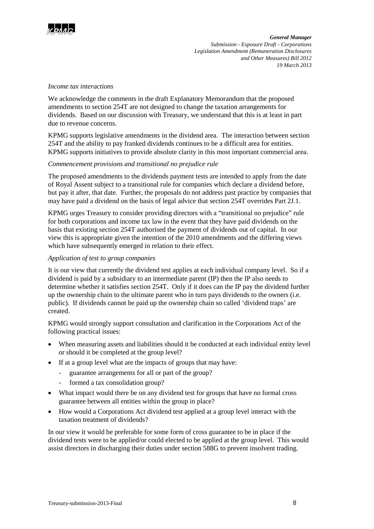

#### *Income tax interactions*

We acknowledge the comments in the draft Explanatory Memorandum that the proposed amendments to section 254T are not designed to change the taxation arrangements for dividends. Based on our discussion with Treasury, we understand that this is at least in part due to revenue concerns.

KPMG supports legislative amendments in the dividend area. The interaction between section 254T and the ability to pay franked dividends continues to be a difficult area for entities. KPMG supports initiatives to provide absolute clarity in this most important commercial area.

#### *Commencement provisions and transitional no prejudice rule*

The proposed amendments to the dividends payment tests are intended to apply from the date of Royal Assent subject to a transitional rule for companies which declare a dividend before, but pay it after, that date. Further, the proposals do not address past practice by companies that may have paid a dividend on the basis of legal advice that section 254T overrides Part 2J.1.

KPMG urges Treasury to consider providing directors with a "transitional no prejudice" rule for both corporations and income tax law in the event that they have paid dividends on the basis that existing section 254T authorised the payment of dividends out of capital. In our view this is appropriate given the intention of the 2010 amendments and the differing views which have subsequently emerged in relation to their effect.

#### *Application of test to group companies*

It is our view that currently the dividend test applies at each individual company level. So if a dividend is paid by a subsidiary to an intermediate parent (IP) then the IP also needs to determine whether it satisfies section 254T. Only if it does can the IP pay the dividend further up the ownership chain to the ultimate parent who in turn pays dividends to the owners (i.e. public). If dividends cannot be paid up the ownership chain so called 'dividend traps' are created.

KPMG would strongly support consultation and clarification in the Corporations Act of the following practical issues:

- When measuring assets and liabilities should it be conducted at each individual entity level or should it be completed at the group level?
- If at a group level what are the impacts of groups that may have:
	- guarantee arrangements for all or part of the group?
		- formed a tax consolidation group?
- What impact would there be on any dividend test for groups that have no formal cross guarantee between all entities within the group in place?
- How would a Corporations Act dividend test applied at a group level interact with the taxation treatment of dividends?

In our view it would be preferable for some form of cross guarantee to be in place if the dividend tests were to be applied/or could elected to be applied at the group level. This would assist directors in discharging their duties under section 588G to prevent insolvent trading.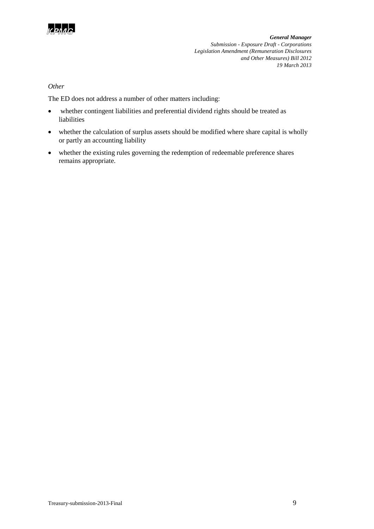

### *Other*

The ED does not address a number of other matters including:

- whether contingent liabilities and preferential dividend rights should be treated as liabilities
- whether the calculation of surplus assets should be modified where share capital is wholly or partly an accounting liability
- whether the existing rules governing the redemption of redeemable preference shares remains appropriate.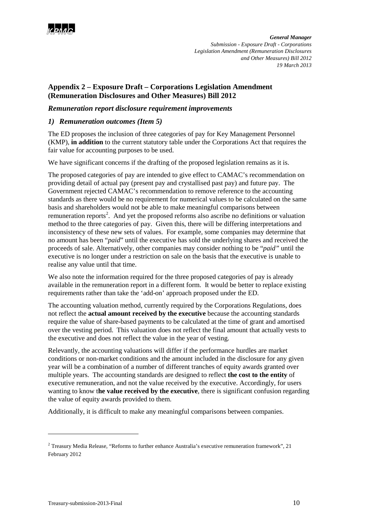

# **Appendix 2 – Exposure Draft – Corporations Legislation Amendment (Remuneration Disclosures and Other Measures) Bill 2012**

## *Remuneration report disclosure requirement improvements*

# *1) Remuneration outcomes (Item 5)*

The ED proposes the inclusion of three categories of pay for Key Management Personnel (KMP), **in addition** to the current statutory table under the Corporations Act that requires the fair value for accounting purposes to be used.

We have significant concerns if the drafting of the proposed legislation remains as it is.

The proposed categories of pay are intended to give effect to CAMAC's recommendation on providing detail of actual pay (present pay and crystallised past pay) and future pay. The Government rejected CAMAC's recommendation to remove reference to the accounting standards as there would be no requirement for numerical values to be calculated on the same basis and shareholders would not be able to make meaningful comparisons between remuneration reports<sup>[2](#page-9-0)</sup>. And yet the proposed reforms also ascribe no definitions or valuation method to the three categories of pay. Given this, there will be differing interpretations and inconsistency of these new sets of values. For example, some companies may determine that no amount has been "*paid*" until the executive has sold the underlying shares and received the proceeds of sale. Alternatively, other companies may consider nothing to be "*paid"* until the executive is no longer under a restriction on sale on the basis that the executive is unable to realise any value until that time.

We also note the information required for the three proposed categories of pay is already available in the remuneration report in a different form. It would be better to replace existing requirements rather than take the 'add-on' approach proposed under the ED.

The accounting valuation method, currently required by the Corporations Regulations, does not reflect the **actual amount received by the executive** because the accounting standards require the value of share-based payments to be calculated at the time of grant and amortised over the vesting period. This valuation does not reflect the final amount that actually vests to the executive and does not reflect the value in the year of vesting.

Relevantly, the accounting valuations will differ if the performance hurdles are market conditions or non-market conditions and the amount included in the disclosure for any given year will be a combination of a number of different tranches of equity awards granted over multiple years. The accounting standards are designed to reflect **the cost to the entity** of executive remuneration, and not the value received by the executive. Accordingly, for users wanting to know t**he value received by the executive**, there is significant confusion regarding the value of equity awards provided to them.

Additionally, it is difficult to make any meaningful comparisons between companies.

<u>.</u>

<span id="page-9-0"></span><sup>&</sup>lt;sup>2</sup> Treasury Media Release, "Reforms to further enhance Australia's executive remuneration framework", 21 February 2012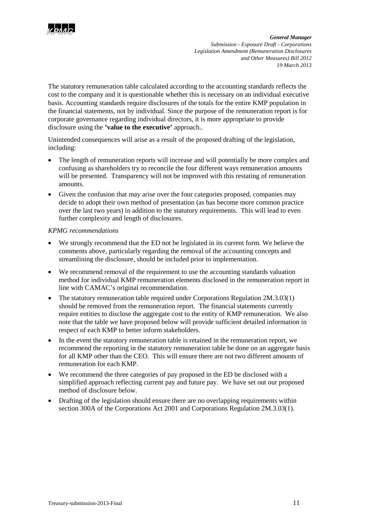

The statutory remuneration table calculated according to the accounting standards reflects the cost to the company and it is questionable whether this is necessary on an individual executive basis. Accounting standards require disclosures of the totals for the entire KMP population in the financial statements, not by individual. Since the purpose of the remuneration report is for corporate governance regarding individual directors, it is more appropriate to provide disclosure using the **'value to the executive'** approach..

Unintended consequences will arise as a result of the proposed drafting of the legislation, including:

- The length of remuneration reports will increase and will potentially be more complex and confusing as shareholders try to reconcile the four different ways remuneration amounts will be presented. Transparency will not be improved with this restating of remuneration amounts.
- Given the confusion that may arise over the four categories proposed, companies may decide to adopt their own method of presentation (as has become more common practice over the last two years) in addition to the statutory requirements. This will lead to even further complexity and length of disclosures.

#### *KPMG recommendations*

- We strongly recommend that the ED not be legislated in its current form. We believe the comments above, particularly regarding the removal of the accounting concepts and streamlining the disclosure, should be included prior to implementation.
- We recommend removal of the requirement to use the accounting standards valuation method for individual KMP remuneration elements disclosed in the remuneration report in line with CAMAC's original recommendation.
- The statutory remuneration table required under Corporations Regulation 2M.3.03(1) should be removed from the remuneration report. The financial statements currently require entities to disclose the aggregate cost to the entity of KMP remuneration. We also note that the table we have proposed below will provide sufficient detailed information in respect of each KMP to better inform stakeholders.
- In the event the statutory remuneration table is retained in the remuneration report, we recommend the reporting in the statutory remuneration table be done on an aggregate basis for all KMP other than the CEO. This will ensure there are not two different amounts of remuneration for each KMP.
- We recommend the three categories of pay proposed in the ED be disclosed with a simplified approach reflecting current pay and future pay. We have set out our proposed method of disclosure below.
- Drafting of the legislation should ensure there are no overlapping requirements within section 300A of the Corporations Act 2001 and Corporations Regulation 2M.3.03(1).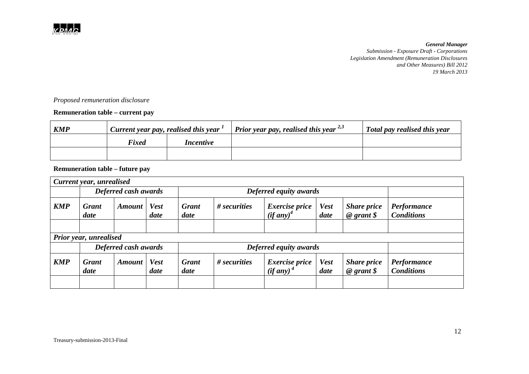

# *Proposed remuneration disclosure*

# **Remuneration table – current pay**

| <b>KMP</b> | $\pm$ Current year pay, realised this year $\pm$ |                  | <i>Prior year pay, realised this year</i> $^{2,3}$ | Total pay realised this year |  |
|------------|--------------------------------------------------|------------------|----------------------------------------------------|------------------------------|--|
|            | <b>Fixed</b>                                     | <i>Incentive</i> |                                                    |                              |  |
|            |                                                  |                  |                                                    |                              |  |

# **Remuneration table – future pay**

| Current year, unrealised |                      |               |                        |                        |                |                                                |                     |                                              |                                  |  |  |
|--------------------------|----------------------|---------------|------------------------|------------------------|----------------|------------------------------------------------|---------------------|----------------------------------------------|----------------------------------|--|--|
|                          | Deferred cash awards |               |                        | Deferred equity awards |                |                                                |                     |                                              |                                  |  |  |
| <b>KMP</b>               | <b>Grant</b><br>date | Amount        | <b>Vest</b><br>date    | <b>Grant</b><br>date   | $#$ securities | <i>Exercise price</i><br>$(i f any)^4$         | <b>Vest</b><br>date | <b>Share price</b><br>$\omega$ grant $\oint$ | Performance<br><b>Conditions</b> |  |  |
|                          |                      |               |                        |                        |                |                                                |                     |                                              |                                  |  |  |
| Prior year, unrealised   |                      |               |                        |                        |                |                                                |                     |                                              |                                  |  |  |
|                          | Deferred cash awards |               | Deferred equity awards |                        |                |                                                |                     |                                              |                                  |  |  |
| <b>KMP</b>               | <b>Grant</b><br>date | <b>Amount</b> | <b>Vest</b><br>date    | <b>Grant</b><br>date   | # securities   | <i>Exercise price</i><br>(if any) <sup>4</sup> | <b>Vest</b><br>date | <b>Share price</b><br>$\omega$ grant \$      | Performance<br><b>Conditions</b> |  |  |
|                          |                      |               |                        |                        |                |                                                |                     |                                              |                                  |  |  |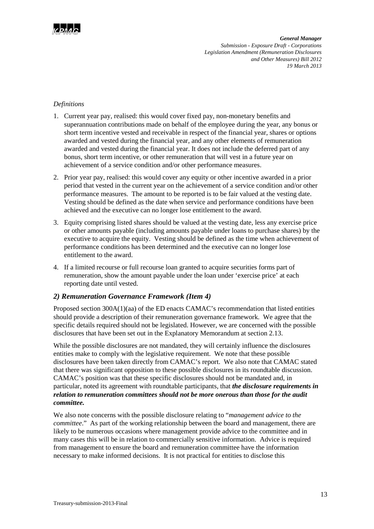

# *Definitions*

- 1. Current year pay, realised: this would cover fixed pay, non-monetary benefits and superannuation contributions made on behalf of the employee during the year, any bonus or short term incentive vested and receivable in respect of the financial year, shares or options awarded and vested during the financial year, and any other elements of remuneration awarded and vested during the financial year. It does not include the deferred part of any bonus, short term incentive, or other remuneration that will vest in a future year on achievement of a service condition and/or other performance measures.
- 2. Prior year pay, realised: this would cover any equity or other incentive awarded in a prior period that vested in the current year on the achievement of a service condition and/or other performance measures. The amount to be reported is to be fair valued at the vesting date. Vesting should be defined as the date when service and performance conditions have been achieved and the executive can no longer lose entitlement to the award.
- 3. Equity comprising listed shares should be valued at the vesting date, less any exercise price or other amounts payable (including amounts payable under loans to purchase shares) by the executive to acquire the equity. Vesting should be defined as the time when achievement of performance conditions has been determined and the executive can no longer lose entitlement to the award.
- 4. If a limited recourse or full recourse loan granted to acquire securities forms part of remuneration, show the amount payable under the loan under 'exercise price' at each reporting date until vested.

### *2) Remuneration Governance Framework (Item 4)*

Proposed section 300A(1)(aa) of the ED enacts CAMAC's recommendation that listed entities should provide a description of their remuneration governance framework. We agree that the specific details required should not be legislated. However, we are concerned with the possible disclosures that have been set out in the Explanatory Memorandum at section 2.13.

While the possible disclosures are not mandated, they will certainly influence the disclosures entities make to comply with the legislative requirement. We note that these possible disclosures have been taken directly from CAMAC's report. We also note that CAMAC stated that there was significant opposition to these possible disclosures in its roundtable discussion. CAMAC's position was that these specific disclosures should not be mandated and, in particular, noted its agreement with roundtable participants, that *the disclosure requirements in relation to remuneration committees should not be more onerous than those for the audit committee.* 

We also note concerns with the possible disclosure relating to "*management advice to the committee*." As part of the working relationship between the board and management, there are likely to be numerous occasions where management provide advice to the committee and in many cases this will be in relation to commercially sensitive information. Advice is required from management to ensure the board and remuneration committee have the information necessary to make informed decisions. It is not practical for entities to disclose this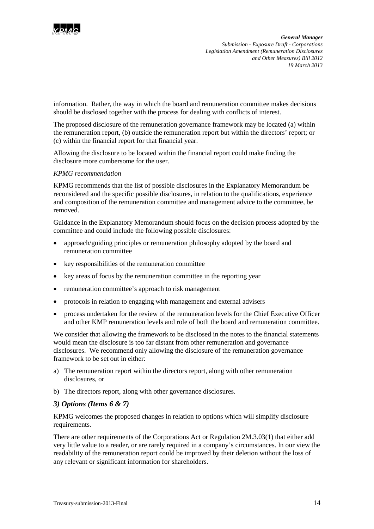

information. Rather, the way in which the board and remuneration committee makes decisions should be disclosed together with the process for dealing with conflicts of interest.

The proposed disclosure of the remuneration governance framework may be located (a) within the remuneration report, (b) outside the remuneration report but within the directors' report; or (c) within the financial report for that financial year.

Allowing the disclosure to be located within the financial report could make finding the disclosure more cumbersome for the user.

#### *KPMG recommendation*

KPMG recommends that the list of possible disclosures in the Explanatory Memorandum be reconsidered and the specific possible disclosures, in relation to the qualifications, experience and composition of the remuneration committee and management advice to the committee, be removed.

Guidance in the Explanatory Memorandum should focus on the decision process adopted by the committee and could include the following possible disclosures:

- approach/guiding principles or remuneration philosophy adopted by the board and remuneration committee
- key responsibilities of the remuneration committee
- key areas of focus by the remuneration committee in the reporting year
- remuneration committee's approach to risk management
- protocols in relation to engaging with management and external advisers
- process undertaken for the review of the remuneration levels for the Chief Executive Officer and other KMP remuneration levels and role of both the board and remuneration committee.

We consider that allowing the framework to be disclosed in the notes to the financial statements would mean the disclosure is too far distant from other remuneration and governance disclosures. We recommend only allowing the disclosure of the remuneration governance framework to be set out in either:

- a) The remuneration report within the directors report, along with other remuneration disclosures, or
- b) The directors report, along with other governance disclosures.

#### *3) Options (Items 6 & 7)*

KPMG welcomes the proposed changes in relation to options which will simplify disclosure requirements.

There are other requirements of the Corporations Act or Regulation 2M.3.03(1) that either add very little value to a reader, or are rarely required in a company's circumstances. In our view the readability of the remuneration report could be improved by their deletion without the loss of any relevant or significant information for shareholders.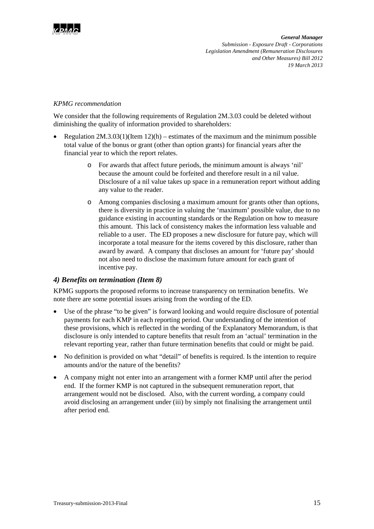

#### *KPMG recommendation*

We consider that the following requirements of Regulation 2M.3.03 could be deleted without diminishing the quality of information provided to shareholders:

- Regulation  $2M \cdot 3.03(1)(Item 12)(h)$  estimates of the maximum and the minimum possible total value of the bonus or grant (other than option grants) for financial years after the financial year to which the report relates.
	- o For awards that affect future periods, the minimum amount is always 'nil' because the amount could be forfeited and therefore result in a nil value. Disclosure of a nil value takes up space in a remuneration report without adding any value to the reader.
	- o Among companies disclosing a maximum amount for grants other than options, there is diversity in practice in valuing the 'maximum' possible value, due to no guidance existing in accounting standards or the Regulation on how to measure this amount. This lack of consistency makes the information less valuable and reliable to a user. The ED proposes a new disclosure for future pay, which will incorporate a total measure for the items covered by this disclosure, rather than award by award. A company that discloses an amount for 'future pay' should not also need to disclose the maximum future amount for each grant of incentive pay.

### *4) Benefits on termination (Item 8)*

KPMG supports the proposed reforms to increase transparency on termination benefits. We note there are some potential issues arising from the wording of the ED.

- Use of the phrase "to be given" is forward looking and would require disclosure of potential payments for each KMP in each reporting period. Our understanding of the intention of these provisions, which is reflected in the wording of the Explanatory Memorandum, is that disclosure is only intended to capture benefits that result from an 'actual' termination in the relevant reporting year, rather than future termination benefits that could or might be paid.
- No definition is provided on what "detail" of benefits is required. Is the intention to require amounts and/or the nature of the benefits?
- A company might not enter into an arrangement with a former KMP until after the period end. If the former KMP is not captured in the subsequent remuneration report, that arrangement would not be disclosed. Also, with the current wording, a company could avoid disclosing an arrangement under (iii) by simply not finalising the arrangement until after period end.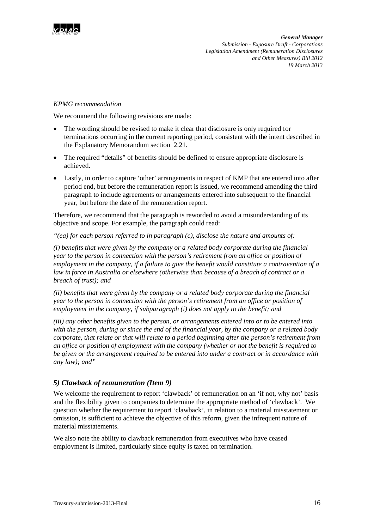

#### *KPMG recommendation*

We recommend the following revisions are made:

- The wording should be revised to make it clear that disclosure is only required for terminations occurring in the current reporting period, consistent with the intent described in the Explanatory Memorandum section 2.21.
- The required "details" of benefits should be defined to ensure appropriate disclosure is achieved.
- Lastly, in order to capture 'other' arrangements in respect of KMP that are entered into after period end, but before the remuneration report is issued, we recommend amending the third paragraph to include agreements or arrangements entered into subsequent to the financial year, but before the date of the remuneration report.

Therefore, we recommend that the paragraph is reworded to avoid a misunderstanding of its objective and scope. For example, the paragraph could read:

*"(ea) for each person referred to in paragraph (c), disclose the nature and amounts of:*

*(i) benefits that were given by the company or a related body corporate during the financial year to the person in connection with the person's retirement from an office or position of employment in the company, if a failure to give the benefit would constitute a contravention of a law in force in Australia or elsewhere (otherwise than because of a breach of contract or a breach of trust); and* 

*(ii) benefits that were given by the company or a related body corporate during the financial year to the person in connection with the person's retirement from an office or position of employment in the company, if subparagraph (i) does not apply to the benefit; and*

*(iii) any other benefits given to the person, or arrangements entered into or to be entered into with the person, during or since the end of the financial year, by the company or a related body corporate, that relate or that will relate to a period beginning after the person's retirement from an office or position of employment with the company (whether or not the benefit is required to be given or the arrangement required to be entered into under a contract or in accordance with any law); and"*

### *5) Clawback of remuneration (Item 9)*

We welcome the requirement to report 'clawback' of remuneration on an 'if not, why not' basis and the flexibility given to companies to determine the appropriate method of 'clawback'. We question whether the requirement to report 'clawback', in relation to a material misstatement or omission, is sufficient to achieve the objective of this reform, given the infrequent nature of material misstatements.

We also note the ability to clawback remuneration from executives who have ceased employment is limited, particularly since equity is taxed on termination.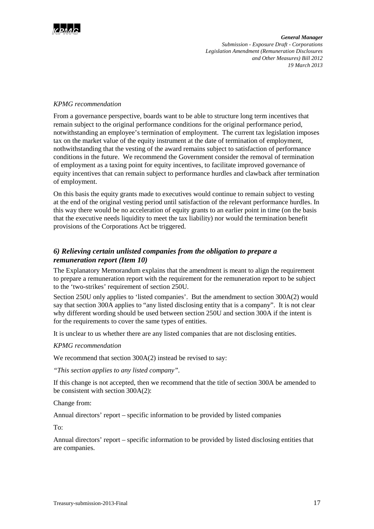

#### *KPMG recommendation*

From a governance perspective, boards want to be able to structure long term incentives that remain subject to the original performance conditions for the original performance period, notwithstanding an employee's termination of employment. The current tax legislation imposes tax on the market value of the equity instrument at the date of termination of employment, nothwithstanding that the vesting of the award remains subject to satisfaction of performance conditions in the future. We recommend the Government consider the removal of termination of employment as a taxing point for equity incentives, to facilitate improved governance of equity incentives that can remain subject to performance hurdles and clawback after termination of employment.

On this basis the equity grants made to executives would continue to remain subject to vesting at the end of the original vesting period until satisfaction of the relevant performance hurdles. In this way there would be no acceleration of equity grants to an earlier point in time (on the basis that the executive needs liquidity to meet the tax liability) nor would the termination benefit provisions of the Corporations Act be triggered.

# *6) Relieving certain unlisted companies from the obligation to prepare a remuneration report (Item 10)*

The Explanatory Memorandum explains that the amendment is meant to align the requirement to prepare a remuneration report with the requirement for the remuneration report to be subject to the 'two-strikes' requirement of section 250U.

Section 250U only applies to 'listed companies'. But the amendment to section 300A(2) would say that section 300A applies to "any listed disclosing entity that is a company". It is not clear why different wording should be used between section 250U and section 300A if the intent is for the requirements to cover the same types of entities.

It is unclear to us whether there are any listed companies that are not disclosing entities.

#### *KPMG recommendation*

We recommend that section 300A(2) instead be revised to say:

*"This section applies to any listed company".*

If this change is not accepted, then we recommend that the title of section 300A be amended to be consistent with section 300A(2):

Change from:

Annual directors' report – specific information to be provided by listed companies

To:

Annual directors' report – specific information to be provided by listed disclosing entities that are companies.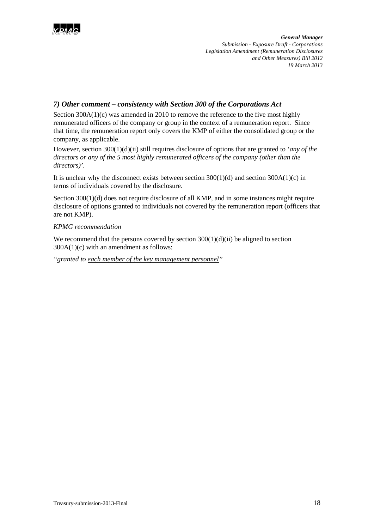

# *7) Other comment – consistency with Section 300 of the Corporations Act*

Section  $300A(1)(c)$  was amended in 2010 to remove the reference to the five most highly remunerated officers of the company or group in the context of a remuneration report. Since that time, the remuneration report only covers the KMP of either the consolidated group or the company, as applicable.

However, section 300(1)(d)(ii) still requires disclosure of options that are granted to *'any of the directors or any of the 5 most highly remunerated officers of the company (other than the directors)'.*

It is unclear why the disconnect exists between section  $300(1)(d)$  and section  $300A(1)(c)$  in terms of individuals covered by the disclosure.

Section 300(1)(d) does not require disclosure of all KMP, and in some instances might require disclosure of options granted to individuals not covered by the remuneration report (officers that are not KMP).

# *KPMG recommendation*

We recommend that the persons covered by section  $300(1)(d)(ii)$  be aligned to section  $300A(1)(c)$  with an amendment as follows:

*"granted to each member of the key management personnel"*